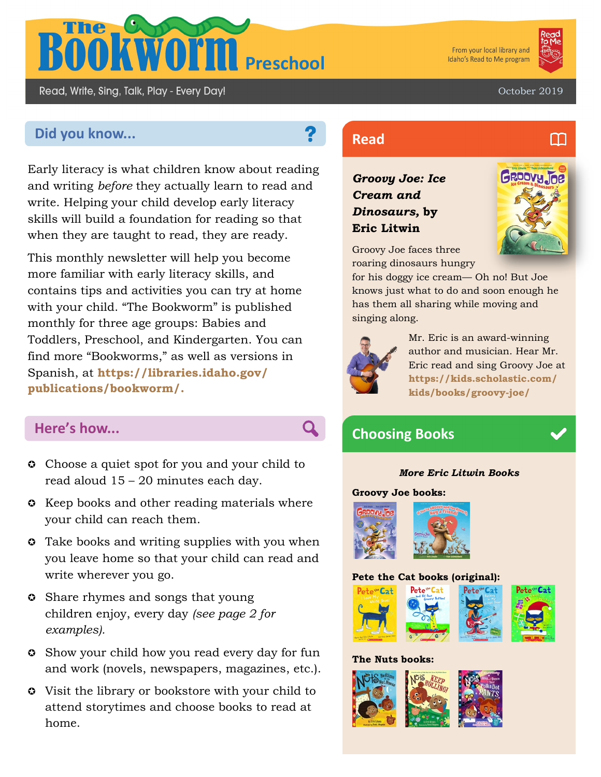

From your local library and Idaho's Read to Me program



m

October 2019

# **Did you know... Read Read**

Read, Write, Sing, Talk, Play - Every Day!

Early literacy is what children know about reading and writing *before* they actually learn to read and write. Helping your child develop early literacy skills will build a foundation for reading so that when they are taught to read, they are ready.

This monthly newsletter will help you become more familiar with early literacy skills, and contains tips and activities you can try at home with your child. "The Bookworm" is published monthly for three age groups: Babies and Toddlers, Preschool, and Kindergarten. You can find more "Bookworms," as well as versions in Spanish, at **https://libraries.idaho.gov/ publications/bookworm/.** 

- **Choose a quiet spot for you and your child to** read aloud 15 – 20 minutes each day.
- **C** Keep books and other reading materials where your child can reach them.
- **C** Take books and writing supplies with you when you leave home so that your child can read and write wherever you go.
- **C** Share rhymes and songs that young children enjoy, every day *(see page 2 for examples).*
- Show your child how you read every day for fun and work (novels, newspapers, magazines, etc.).
- Visit the library or bookstore with your child to attend storytimes and choose books to read at home.

*Groovy Joe: Ice Cream and Dinosaurs,* **by Eric Litwin**



Groovy Joe faces three roaring dinosaurs hungry

for his doggy ice cream— Oh no! But Joe knows just what to do and soon enough he has them all sharing while moving and singing along.



Mr. Eric is an award-winning author and musician. Hear Mr. Eric read and sing Groovy Joe at **https://kids.scholastic.com/ kids/books/groovy-joe/**

# **Choosing Books Here's how... Choosing Books**

### *More Eric Litwin Books*

### **Groovy Joe books:**



### **Pete the Cat books (original):**



### **The Nuts books:**